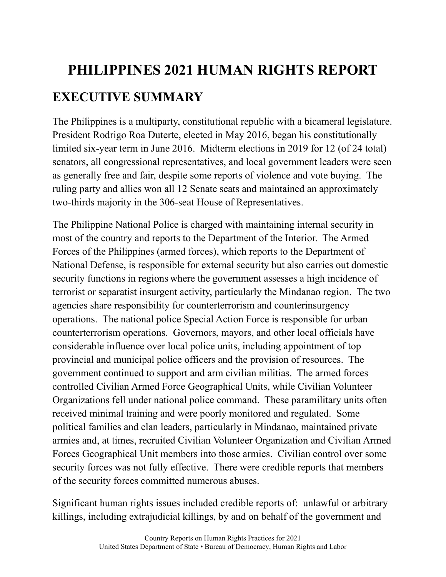## **PHILIPPINES 2021 HUMAN RIGHTS REPORT EXECUTIVE SUMMARY**

The Philippines is a multiparty, constitutional republic with a bicameral legislature. President Rodrigo Roa Duterte, elected in May 2016, began his constitutionally limited six-year term in June 2016. Midterm elections in 2019 for 12 (of 24 total) senators, all congressional representatives, and local government leaders were seen as generally free and fair, despite some reports of violence and vote buying. The ruling party and allies won all 12 Senate seats and maintained an approximately two-thirds majority in the 306-seat House of Representatives.

The Philippine National Police is charged with maintaining internal security in most of the country and reports to the Department of the Interior. The Armed Forces of the Philippines (armed forces), which reports to the Department of National Defense, is responsible for external security but also carries out domestic security functions in regions where the government assesses a high incidence of terrorist or separatist insurgent activity, particularly the Mindanao region. The two agencies share responsibility for counterterrorism and counterinsurgency operations. The national police Special Action Force is responsible for urban counterterrorism operations. Governors, mayors, and other local officials have considerable influence over local police units, including appointment of top provincial and municipal police officers and the provision of resources. The government continued to support and arm civilian militias. The armed forces controlled Civilian Armed Force Geographical Units, while Civilian Volunteer Organizations fell under national police command. These paramilitary units often received minimal training and were poorly monitored and regulated. Some political families and clan leaders, particularly in Mindanao, maintained private armies and, at times, recruited Civilian Volunteer Organization and Civilian Armed Forces Geographical Unit members into those armies. Civilian control over some security forces was not fully effective. There were credible reports that members of the security forces committed numerous abuses.

Significant human rights issues included credible reports of: unlawful or arbitrary killings, including extrajudicial killings, by and on behalf of the government and